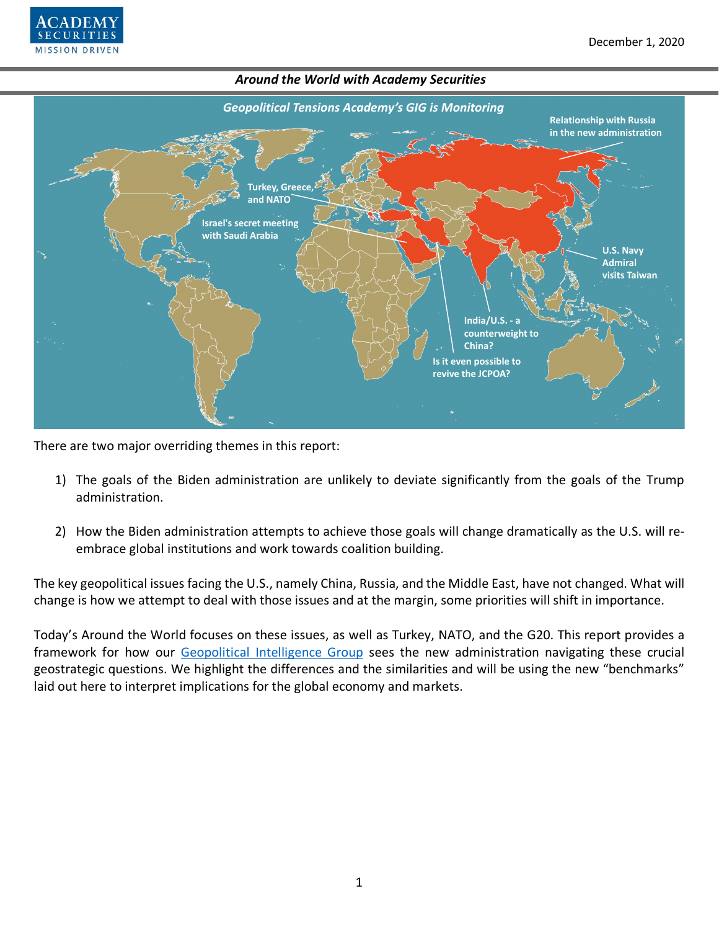



There are two major overriding themes in this report:

- 1) The goals of the Biden administration are unlikely to deviate significantly from the goals of the Trump administration.
- 2) How the Biden administration attempts to achieve those goals will change dramatically as the U.S. will reembrace global institutions and work towards coalition building.

The key geopolitical issues facing the U.S., namely China, Russia, and the Middle East, have not changed. What will change is how we attempt to deal with those issues and at the margin, some priorities will shift in importance.

Today's Around the World focuses on these issues, as well as Turkey, NATO, and the G20. This report provides a framework for how our [Geopolitical Intelligence Group](https://www.academysecurities.com/geopolitical/geopolitical-intelligence-group/) sees the new administration navigating these crucial geostrategic questions. We highlight the differences and the similarities and will be using the new "benchmarks" laid out here to interpret implications for the global economy and markets.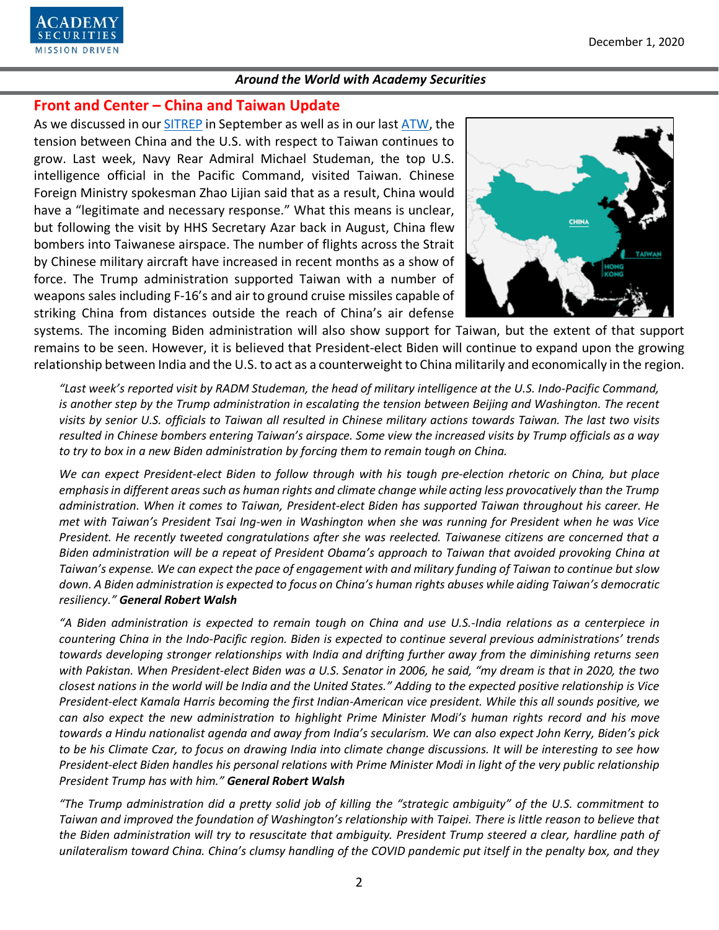

# **Front and Center – China and Taiwan Update**

As we discussed in our [SITREP](https://www.academysecurities.com/is-taiwan-at-risk/) in September as well as in our last [ATW,](https://www.academysecurities.com/wordpress/wp-content/uploads/2020/10/Around-the-World-with-Academy-Securities_10-30-20.pdf) the tension between China and the U.S. with respect to Taiwan continues to grow. Last week, Navy Rear Admiral Michael Studeman, the top U.S. intelligence official in the Pacific Command, visited Taiwan. Chinese Foreign Ministry spokesman Zhao Lijian said that as a result, China would have a "legitimate and necessary response." What this means is unclear, but following the visit by HHS Secretary Azar back in August, China flew bombers into Taiwanese airspace. The number of flights across the Strait by Chinese military aircraft have increased in recent months as a show of force. The Trump administration supported Taiwan with a number of weapons sales including F-16's and air to ground cruise missiles capable of striking China from distances outside the reach of China's air defense



systems. The incoming Biden administration will also show support for Taiwan, but the extent of that support remains to be seen. However, it is believed that President-elect Biden will continue to expand upon the growing relationship between India and the U.S. to act as a counterweight to China militarily and economically in the region.

*"Last week's reported visit by RADM Studeman, the head of military intelligence at the U.S. Indo-Pacific Command, is another step by the Trump administration in escalating the tension between Beijing and Washington. The recent visits by senior U.S. officials to Taiwan all resulted in Chinese military actions towards Taiwan. The last two visits resulted in Chinese bombers entering Taiwan's airspace. Some view the increased visits by Trump officials as a way to try to box in a new Biden administration by forcing them to remain tough on China.*

*We can expect President-elect Biden to follow through with his tough pre-election rhetoric on China, but place emphasis in different areas such as human rights and climate change while acting less provocatively than the Trump administration. When it comes to Taiwan, President-elect Biden has supported Taiwan throughout his career. He met with Taiwan's President Tsai Ing-wen in Washington when she was running for President when he was Vice President. He recently tweeted congratulations after she was reelected. Taiwanese citizens are concerned that a Biden administration will be a repeat of President Obama's approach to Taiwan that avoided provoking China at Taiwan's expense. We can expect the pace of engagement with and military funding of Taiwan to continue but slow down. A Biden administration is expected to focus on China's human rights abuses while aiding Taiwan's democratic resiliency." General Robert Walsh*

*"A Biden administration is expected to remain tough on China and use U.S.-India relations as a centerpiece in countering China in the Indo-Pacific region. Biden is expected to continue several previous administrations' trends towards developing stronger relationships with India and drifting further away from the diminishing returns seen with Pakistan. When President-elect Biden was a U.S. Senator in 2006, he said, "my dream is that in 2020, the two closest nations in the world will be India and the United States." Adding to the expected positive relationship is Vice President-elect Kamala Harris becoming the first Indian-American vice president. While this all sounds positive, we can also expect the new administration to highlight Prime Minister Modi's human rights record and his move towards a Hindu nationalist agenda and away from India's secularism. We can also expect John Kerry, Biden's pick to be his Climate Czar, to focus on drawing India into climate change discussions. It will be interesting to see how President-elect Biden handles his personal relations with Prime Minister Modi in light of the very public relationship President Trump has with him." General Robert Walsh*

*"The Trump administration did a pretty solid job of killing the "strategic ambiguity" of the U.S. commitment to*  Taiwan and improved the foundation of Washington's relationship with Taipei. There is little reason to believe that *the Biden administration will try to resuscitate that ambiguity. President Trump steered a clear, hardline path of unilateralism toward China. China's clumsy handling of the COVID pandemic put itself in the penalty box, and they*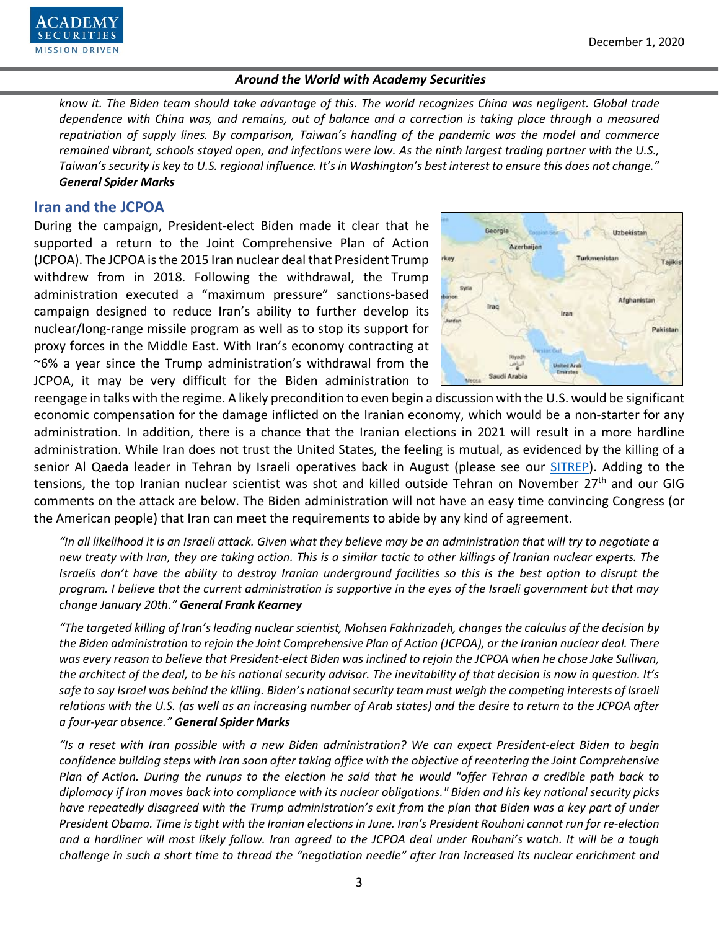

*know it. The Biden team should take advantage of this. The world recognizes China was negligent. Global trade dependence with China was, and remains, out of balance and a correction is taking place through a measured repatriation of supply lines. By comparison, Taiwan's handling of the pandemic was the model and commerce remained vibrant, schools stayed open, and infections were low. As the ninth largest trading partner with the U.S., Taiwan's security is key to U.S. regional influence. It's in Washington's best interest to ensure this does not change." General Spider Marks*

### **Iran and the JCPOA**

During the campaign, President-elect Biden made it clear that he supported a return to the Joint Comprehensive Plan of Action (JCPOA). The JCPOA is the 2015 Iran nuclear deal that President Trump withdrew from in 2018. Following the withdrawal, the Trump administration executed a "maximum pressure" sanctions-based campaign designed to reduce Iran's ability to further develop its nuclear/long-range missile program as well as to stop its support for proxy forces in the Middle East. With Iran's economy contracting at ~6% a year since the Trump administration's withdrawal from the JCPOA, it may be very difficult for the Biden administration to



reengage in talks with the regime. A likely precondition to even begin a discussion with the U.S. would be significant economic compensation for the damage inflicted on the Iranian economy, which would be a non-starter for any administration. In addition, there is a chance that the Iranian elections in 2021 will result in a more hardline administration. While Iran does not trust the United States, the feeling is mutual, as evidenced by the killing of a senior Al Qaeda leader in Tehran by Israeli operatives back in August (please see our [SITREP\)](https://www.academysecurities.com/al-qaeda-and-iran/). Adding to the tensions, the top Iranian nuclear scientist was shot and killed outside Tehran on November 27<sup>th</sup> and our GIG comments on the attack are below. The Biden administration will not have an easy time convincing Congress (or the American people) that Iran can meet the requirements to abide by any kind of agreement.

*"In all likelihood it is an Israeli attack. Given what they believe may be an administration that will try to negotiate a new treaty with Iran, they are taking action. This is a similar tactic to other killings of Iranian nuclear experts. The Israelis don't have the ability to destroy Iranian underground facilities so this is the best option to disrupt the program. I believe that the current administration is supportive in the eyes of the Israeli government but that may change January 20th." General Frank Kearney*

*"The targeted killing of Iran's leading nuclear scientist, Mohsen Fakhrizadeh, changes the calculus of the decision by the Biden administration to rejoin the Joint Comprehensive Plan of Action (JCPOA), or the Iranian nuclear deal. There*  was every reason to believe that President-elect Biden was inclined to rejoin the JCPOA when he chose Jake Sullivan, *the architect of the deal, to be his national security advisor. The inevitability of that decision is now in question. It's safe to say Israel was behind the killing. Biden's national security team must weigh the competing interests of Israeli relations with the U.S. (as well as an increasing number of Arab states) and the desire to return to the JCPOA after a four-year absence." General Spider Marks*

*"Is a reset with Iran possible with a new Biden administration? We can expect President-elect Biden to begin confidence building steps with Iran soon after taking office with the objective of reentering the Joint Comprehensive Plan of Action. During the runups to the election he said that he would "offer Tehran a credible path back to diplomacy if Iran moves back into compliance with its nuclear obligations." Biden and his key national security picks have repeatedly disagreed with the Trump administration's exit from the plan that Biden was a key part of under President Obama. Time is tight with the Iranian elections in June. Iran's President Rouhani cannot run for re-election and a hardliner will most likely follow. Iran agreed to the JCPOA deal under Rouhani's watch. It will be a tough challenge in such a short time to thread the "negotiation needle" after Iran increased its nuclear enrichment and*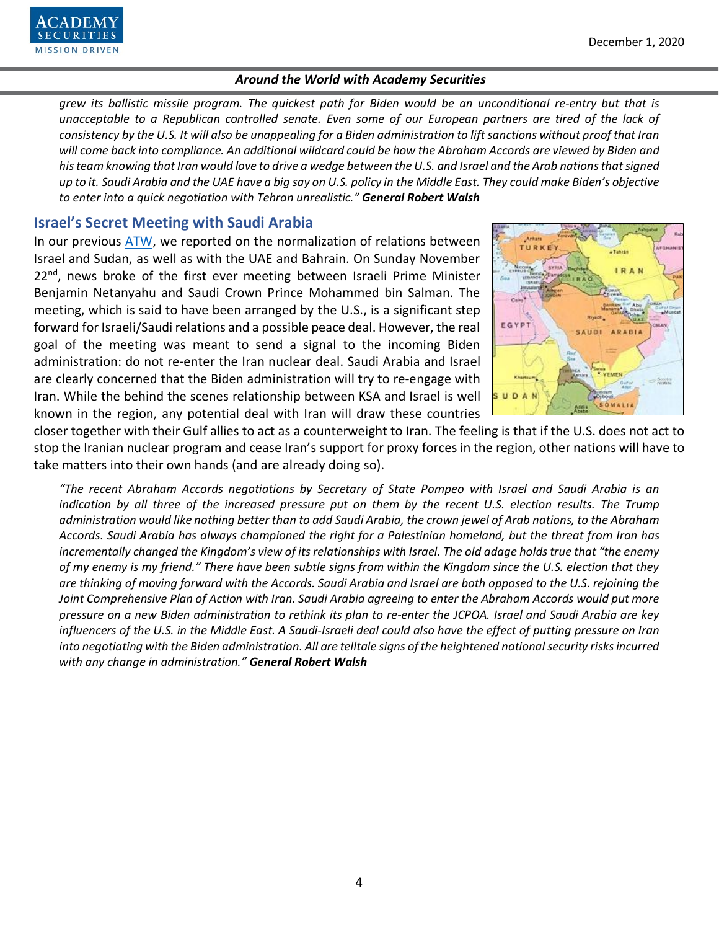

*grew its ballistic missile program. The quickest path for Biden would be an unconditional re-entry but that is unacceptable to a Republican controlled senate. Even some of our European partners are tired of the lack of consistency by the U.S. It will also be unappealing for a Biden administration to lift sanctions without proof that Iran will come back into compliance. An additional wildcard could be how the Abraham Accords are viewed by Biden and his team knowing that Iran would love to drive a wedge between the U.S. and Israel and the Arab nations that signed up to it. Saudi Arabia and the UAE have a big say on U.S. policy in the Middle East. They could make Biden's objective to enter into a quick negotiation with Tehran unrealistic." General Robert Walsh*

## **Israel's Secret Meeting with Saudi Arabia**

In our previous [ATW,](https://www.academysecurities.com/wordpress/wp-content/uploads/2020/10/Around-the-World-with-Academy-Securities_10-30-20.pdf) we reported on the normalization of relations between Israel and Sudan, as well as with the UAE and Bahrain. On Sunday November  $22<sup>nd</sup>$ , news broke of the first ever meeting between Israeli Prime Minister Benjamin Netanyahu and Saudi Crown Prince Mohammed bin Salman. The meeting, which is said to have been arranged by the U.S., is a significant step forward for Israeli/Saudi relations and a possible peace deal. However, the real goal of the meeting was meant to send a signal to the incoming Biden administration: do not re-enter the Iran nuclear deal. Saudi Arabia and Israel are clearly concerned that the Biden administration will try to re-engage with Iran. While the behind the scenes relationship between KSA and Israel is well known in the region, any potential deal with Iran will draw these countries



closer together with their Gulf allies to act as a counterweight to Iran. The feeling is that if the U.S. does not act to stop the Iranian nuclear program and cease Iran's support for proxy forces in the region, other nations will have to take matters into their own hands (and are already doing so).

*"The recent Abraham Accords negotiations by Secretary of State Pompeo with Israel and Saudi Arabia is an indication by all three of the increased pressure put on them by the recent U.S. election results. The Trump administration would like nothing better than to add Saudi Arabia, the crown jewel of Arab nations, to the Abraham Accords. Saudi Arabia has always championed the right for a Palestinian homeland, but the threat from Iran has incrementally changed the Kingdom's view of its relationships with Israel. The old adage holds true that "the enemy of my enemy is my friend." There have been subtle signs from within the Kingdom since the U.S. election that they are thinking of moving forward with the Accords. Saudi Arabia and Israel are both opposed to the U.S. rejoining the Joint Comprehensive Plan of Action with Iran. Saudi Arabia agreeing to enter the Abraham Accords would put more pressure on a new Biden administration to rethink its plan to re-enter the JCPOA. Israel and Saudi Arabia are key influencers of the U.S. in the Middle East. A Saudi-Israeli deal could also have the effect of putting pressure on Iran into negotiating with the Biden administration. All are telltale signs of the heightened national security risks incurred with any change in administration." General Robert Walsh*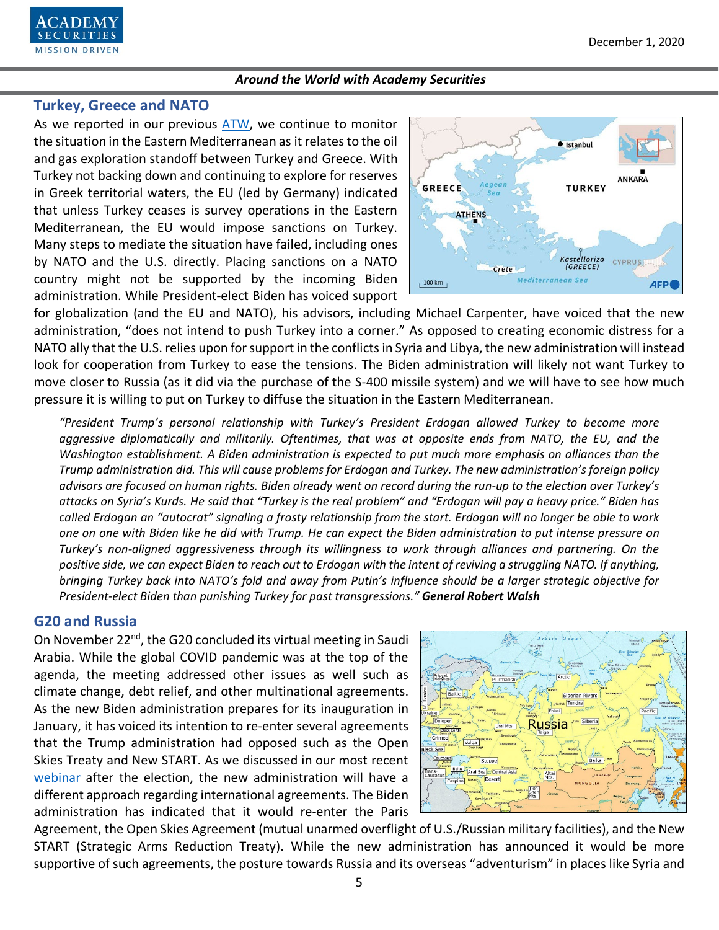

### **Turkey, Greece and NATO**

As we reported in our previous [ATW,](https://www.academysecurities.com/wordpress/wp-content/uploads/2020/10/Around-the-World-with-Academy-Securities_10-30-20.pdf) we continue to monitor the situation in the Eastern Mediterranean as it relates to the oil and gas exploration standoff between Turkey and Greece. With Turkey not backing down and continuing to explore for reserves in Greek territorial waters, the EU (led by Germany) indicated that unless Turkey ceases is survey operations in the Eastern Mediterranean, the EU would impose sanctions on Turkey. Many steps to mediate the situation have failed, including ones by NATO and the U.S. directly. Placing sanctions on a NATO country might not be supported by the incoming Biden administration. While President-elect Biden has voiced support



for globalization (and the EU and NATO), his advisors, including Michael Carpenter, have voiced that the new administration, "does not intend to push Turkey into a corner." As opposed to creating economic distress for a NATO ally that the U.S. relies upon for support in the conflicts in Syria and Libya, the new administration will instead look for cooperation from Turkey to ease the tensions. The Biden administration will likely not want Turkey to move closer to Russia (as it did via the purchase of the S-400 missile system) and we will have to see how much pressure it is willing to put on Turkey to diffuse the situation in the Eastern Mediterranean.

*"President Trump's personal relationship with Turkey's President Erdogan allowed Turkey to become more aggressive diplomatically and militarily. Oftentimes, that was at opposite ends from NATO, the EU, and the Washington establishment. A Biden administration is expected to put much more emphasis on alliances than the Trump administration did. This will cause problems for Erdogan and Turkey. The new administration's foreign policy advisors are focused on human rights. Biden already went on record during the run-up to the election over Turkey's attacks on Syria's Kurds. He said that "Turkey is the real problem" and "Erdogan will pay a heavy price." Biden has called Erdogan an "autocrat" signaling a frosty relationship from the start. Erdogan will no longer be able to work one on one with Biden like he did with Trump. He can expect the Biden administration to put intense pressure on Turkey's non-aligned aggressiveness through its willingness to work through alliances and partnering. On the positive side, we can expect Biden to reach out to Erdogan with the intent of reviving a struggling NATO. If anything, bringing Turkey back into NATO's fold and away from Putin's influence should be a larger strategic objective for President-elect Biden than punishing Turkey for past transgressions." General Robert Walsh*

## **G20 and Russia**

On November 22<sup>nd</sup>, the G20 concluded its virtual meeting in Saudi Arabia. While the global COVID pandemic was at the top of the agenda, the meeting addressed other issues as well such as climate change, debt relief, and other multinational agreements. As the new Biden administration prepares for its inauguration in January, it has voiced its intention to re-enter several agreements that the Trump administration had opposed such as the Open Skies Treaty and New START. As we discussed in our most recent [webinar](https://www.academysecurities.com/post-election-impact-on-the-markets-and-foreign-policy/) after the election, the new administration will have a different approach regarding international agreements. The Biden administration has indicated that it would re-enter the Paris



Agreement, the Open Skies Agreement (mutual unarmed overflight of U.S./Russian military facilities), and the New START (Strategic Arms Reduction Treaty). While the new administration has announced it would be more supportive of such agreements, the posture towards Russia and its overseas "adventurism" in places like Syria and